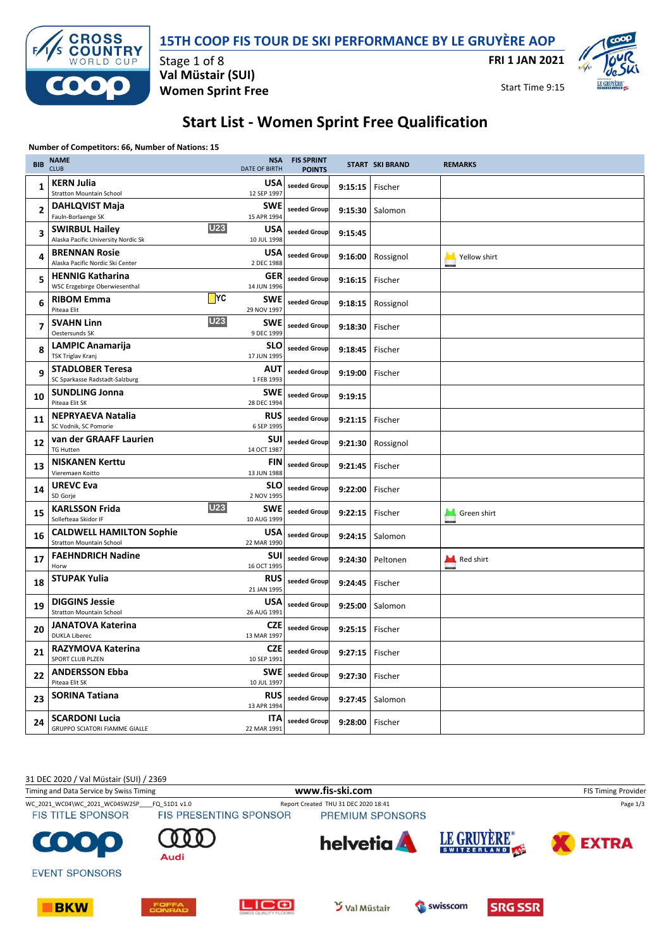

### **15TH COOP FIS TOUR DE SKI PERFORMANCE BY LE GRUYÈRE AOP**

**FRI 1 JAN 2021**



Start Time 9:15

# **Start List - Women Sprint Free Qualification**

#### **Number of Competitors: 66, Number of Nations: 15**

| <b>BIB</b>              | <b>NAME</b><br><b>CLUB</b>                                                 | <b>NSA</b><br><b>DATE OF BIRTH</b> | <b>FIS SPRINT</b><br><b>POINTS</b> |         | <b>START SKI BRAND</b> | <b>REMARKS</b> |
|-------------------------|----------------------------------------------------------------------------|------------------------------------|------------------------------------|---------|------------------------|----------------|
| $\mathbf{1}$            | <b>KERN Julia</b><br><b>Stratton Mountain School</b>                       | USA<br>12 SEP 1997                 | seeded Group                       | 9:15:15 | Fischer                |                |
| $\overline{2}$          | <b>DAHLQVIST Maja</b><br>Fauln-Borlaenge SK                                | <b>SWE</b><br>15 APR 1994          | seeded Group                       | 9:15:30 | Salomon                |                |
| $\overline{\mathbf{3}}$ | <b>U23</b><br><b>SWIRBUL Hailey</b><br>Alaska Pacific University Nordic Sk | USA<br>10 JUL 1998                 | seeded Group                       | 9:15:45 |                        |                |
| 4                       | <b>BRENNAN Rosie</b><br>Alaska Pacific Nordic Ski Center                   | USA<br>2 DEC 1988                  | seeded Group                       | 9:16:00 | Rossignol              | Yellow shirt   |
| 5                       | <b>HENNIG Katharina</b><br>WSC Erzgebirge Oberwiesenthal                   | GER<br>14 JUN 1996                 | seeded Group                       | 9:16:15 | Fischer                |                |
| 6                       | $\Box$ YC<br><b>RIBOM Emma</b><br>Piteaa Elit                              | <b>SWE</b><br>29 NOV 1997          | seeded Group                       | 9:18:15 | Rossignol              |                |
| $\overline{7}$          | <b>U23</b><br><b>SVAHN Linn</b><br>Oestersunds SK                          | <b>SWE</b><br>9 DEC 1999           | seeded Group                       | 9:18:30 | Fischer                |                |
| 8                       | <b>LAMPIC Anamarija</b><br><b>TSK Triglav Kranj</b>                        | <b>SLO</b><br>17 JUN 1995          | seeded Group                       | 9:18:45 | Fischer                |                |
| 9                       | <b>STADLOBER Teresa</b><br>SC Sparkasse Radstadt-Salzburg                  | AUT<br>1 FEB 1993                  | seeded Group                       | 9:19:00 | Fischer                |                |
| 10                      | <b>SUNDLING Jonna</b><br>Piteaa Elit SK                                    | <b>SWE</b><br>28 DEC 1994          | seeded Group                       | 9:19:15 |                        |                |
| 11                      | <b>NEPRYAEVA Natalia</b><br>SC Vodnik, SC Pomorie                          | RUS<br>6 SEP 1995                  | seeded Group                       | 9:21:15 | Fischer                |                |
| 12                      | van der GRAAFF Laurien<br><b>TG Hutten</b>                                 | <b>SUI</b><br>14 OCT 1987          | seeded Group                       | 9:21:30 | Rossignol              |                |
| 13                      | <b>NISKANEN Kerttu</b><br>Vieremaen Koitto                                 | <b>FIN</b><br>13 JUN 1988          | seeded Group                       | 9:21:45 | Fischer                |                |
| 14                      | <b>UREVC Eva</b><br>SD Gorje                                               | <b>SLO</b><br>2 NOV 1995           | seeded Group                       | 9:22:00 | Fischer                |                |
| 15                      | <b>U23</b><br><b>KARLSSON Frida</b><br>Sollefteaa Skidor IF                | <b>SWE</b><br>10 AUG 1999          | seeded Group                       | 9:22:15 | Fischer                | Green shirt    |
| 16                      | <b>CALDWELL HAMILTON Sophie</b><br><b>Stratton Mountain School</b>         | USA<br>22 MAR 1990                 | seeded Group                       | 9:24:15 | Salomon                |                |
| 17                      | <b>FAEHNDRICH Nadine</b><br>Horw                                           | <b>SUI</b><br>16 OCT 1995          | seeded Group                       | 9:24:30 | Peltonen               | Red shirt      |
| 18                      | <b>STUPAK Yulia</b>                                                        | <b>RUS</b><br>21 JAN 1995          | seeded Group                       | 9:24:45 | Fischer                |                |
| 19                      | <b>DIGGINS Jessie</b><br><b>Stratton Mountain School</b>                   | USA<br>26 AUG 1991                 | seeded Group                       | 9:25:00 | Salomon                |                |
| 20                      | <b>JANATOVA Katerina</b><br><b>DUKLA Liberec</b>                           | CZE<br>13 MAR 1997                 | seeded Group                       | 9:25:15 | Fischer                |                |
| 21                      | <b>RAZYMOVA Katerina</b><br>SPORT CLUB PLZEN                               | CZE<br>10 SEP 1991                 | seeded Group                       | 9:27:15 | Fischer                |                |
| 22                      | <b>ANDERSSON Ebba</b><br>Piteaa Elit SK                                    | <b>SWE</b><br>10 JUL 1997          | seeded Group                       | 9:27:30 | Fischer                |                |
| 23                      | <b>SORINA Tatiana</b>                                                      | <b>RUS</b><br>13 APR 1994          | seeded Group                       | 9:27:45 | Salomon                |                |
| 24                      | <b>SCARDONI Lucia</b><br>GRUPPO SCIATORI FIAMME GIALLE                     | ITA<br>22 MAR 1991                 | seeded Group                       | 9:28:00 | Fischer                |                |

31 DEC 2020 / Val Müstair (SUI) / 2369 Timing and Data Service by Swiss Timing **WWW.fis-Ski.com www.fis-ski.com** FIS Timing Provider WC\_2021\_WC04\WC\_2021\_WC04SW2SP\_\_\_\_FQ\_51D1 v1.0 Report Created THU 31 DEC 2020 18:41 Page 1/3 **FIS TITLE SPONSOR** FIS PRESENTING SPONSOR PREMIUM SPONSORS LE GRUYÈRE<sup>®</sup> **helvetia EXTRA** SWITZERLAND 40P Audi **EVENT SPONSORS** swisscom









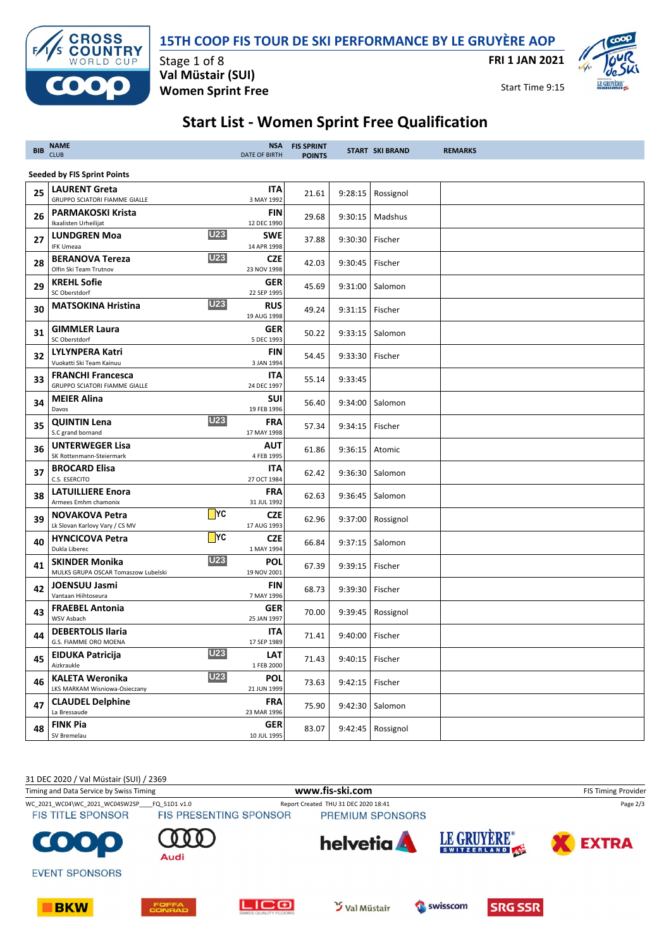

### **15TH COOP FIS TOUR DE SKI PERFORMANCE BY LE GRUYÈRE AOP**

**FRI 1 JAN 2021**

Start Time 9:15



# **Start List - Women Sprint Free Qualification**

| <b>CLUB</b>                                             | <b>DATE OF BIRTH</b>                                                                                                                                                                                                                                                                                                                                                                                                                                                               | <b>FIS SPRINT</b><br><b>POINTS</b>                                                                                                                                                                                                                                                                                                                                                                                                     |            |           | <b>REMARKS</b>                                                                                                                                                                                                                                                                                                                                                                                                                                             |
|---------------------------------------------------------|------------------------------------------------------------------------------------------------------------------------------------------------------------------------------------------------------------------------------------------------------------------------------------------------------------------------------------------------------------------------------------------------------------------------------------------------------------------------------------|----------------------------------------------------------------------------------------------------------------------------------------------------------------------------------------------------------------------------------------------------------------------------------------------------------------------------------------------------------------------------------------------------------------------------------------|------------|-----------|------------------------------------------------------------------------------------------------------------------------------------------------------------------------------------------------------------------------------------------------------------------------------------------------------------------------------------------------------------------------------------------------------------------------------------------------------------|
|                                                         |                                                                                                                                                                                                                                                                                                                                                                                                                                                                                    |                                                                                                                                                                                                                                                                                                                                                                                                                                        |            |           |                                                                                                                                                                                                                                                                                                                                                                                                                                                            |
| <b>LAURENT Greta</b><br>GRUPPO SCIATORI FIAMME GIALLE   | <b>ITA</b><br>3 MAY 1992                                                                                                                                                                                                                                                                                                                                                                                                                                                           | 21.61                                                                                                                                                                                                                                                                                                                                                                                                                                  |            | Rossignol |                                                                                                                                                                                                                                                                                                                                                                                                                                                            |
| <b>PARMAKOSKI Krista</b>                                | <b>FIN</b>                                                                                                                                                                                                                                                                                                                                                                                                                                                                         | 29.68                                                                                                                                                                                                                                                                                                                                                                                                                                  |            | Madshus   |                                                                                                                                                                                                                                                                                                                                                                                                                                                            |
| <b>LUNDGREN Moa</b>                                     | SWE                                                                                                                                                                                                                                                                                                                                                                                                                                                                                | 37.88                                                                                                                                                                                                                                                                                                                                                                                                                                  |            |           |                                                                                                                                                                                                                                                                                                                                                                                                                                                            |
| <b>BERANOVA Tereza</b>                                  | <b>CZE</b>                                                                                                                                                                                                                                                                                                                                                                                                                                                                         | 42.03                                                                                                                                                                                                                                                                                                                                                                                                                                  |            |           |                                                                                                                                                                                                                                                                                                                                                                                                                                                            |
| <b>KREHL Sofie</b>                                      | GER                                                                                                                                                                                                                                                                                                                                                                                                                                                                                | 45.69                                                                                                                                                                                                                                                                                                                                                                                                                                  |            |           |                                                                                                                                                                                                                                                                                                                                                                                                                                                            |
| <b>MATSOKINA Hristina</b>                               | <b>RUS</b>                                                                                                                                                                                                                                                                                                                                                                                                                                                                         | 49.24                                                                                                                                                                                                                                                                                                                                                                                                                                  |            |           |                                                                                                                                                                                                                                                                                                                                                                                                                                                            |
| <b>GIMMLER Laura</b>                                    | GER                                                                                                                                                                                                                                                                                                                                                                                                                                                                                | 50.22                                                                                                                                                                                                                                                                                                                                                                                                                                  |            |           |                                                                                                                                                                                                                                                                                                                                                                                                                                                            |
| <b>LYLYNPERA Katri</b>                                  | <b>FIN</b>                                                                                                                                                                                                                                                                                                                                                                                                                                                                         | 54.45                                                                                                                                                                                                                                                                                                                                                                                                                                  |            |           |                                                                                                                                                                                                                                                                                                                                                                                                                                                            |
| <b>FRANCHI Francesca</b>                                | ITA                                                                                                                                                                                                                                                                                                                                                                                                                                                                                | 55.14                                                                                                                                                                                                                                                                                                                                                                                                                                  | 9:33:45    |           |                                                                                                                                                                                                                                                                                                                                                                                                                                                            |
| <b>MEIER Alina</b>                                      | <b>SUI</b>                                                                                                                                                                                                                                                                                                                                                                                                                                                                         | 56.40                                                                                                                                                                                                                                                                                                                                                                                                                                  |            | Salomon   |                                                                                                                                                                                                                                                                                                                                                                                                                                                            |
| <b>QUINTIN Lena</b>                                     | <b>FRA</b>                                                                                                                                                                                                                                                                                                                                                                                                                                                                         | 57.34                                                                                                                                                                                                                                                                                                                                                                                                                                  |            |           |                                                                                                                                                                                                                                                                                                                                                                                                                                                            |
| <b>UNTERWEGER Lisa</b>                                  | <b>AUT</b>                                                                                                                                                                                                                                                                                                                                                                                                                                                                         | 61.86                                                                                                                                                                                                                                                                                                                                                                                                                                  |            |           |                                                                                                                                                                                                                                                                                                                                                                                                                                                            |
| <b>BROCARD Elisa</b>                                    | ITA                                                                                                                                                                                                                                                                                                                                                                                                                                                                                | 62.42                                                                                                                                                                                                                                                                                                                                                                                                                                  |            |           |                                                                                                                                                                                                                                                                                                                                                                                                                                                            |
| <b>LATUILLIERE Enora</b>                                | <b>FRA</b>                                                                                                                                                                                                                                                                                                                                                                                                                                                                         | 62.63                                                                                                                                                                                                                                                                                                                                                                                                                                  |            |           |                                                                                                                                                                                                                                                                                                                                                                                                                                                            |
| <b>NOVAKOVA Petra</b>                                   | <b>CZE</b>                                                                                                                                                                                                                                                                                                                                                                                                                                                                         | 62.96                                                                                                                                                                                                                                                                                                                                                                                                                                  |            |           |                                                                                                                                                                                                                                                                                                                                                                                                                                                            |
| <b>HYNCICOVA Petra</b>                                  | <b>CZE</b>                                                                                                                                                                                                                                                                                                                                                                                                                                                                         | 66.84                                                                                                                                                                                                                                                                                                                                                                                                                                  |            |           |                                                                                                                                                                                                                                                                                                                                                                                                                                                            |
| <b>SKINDER Monika</b>                                   | <b>POL</b>                                                                                                                                                                                                                                                                                                                                                                                                                                                                         | 67.39                                                                                                                                                                                                                                                                                                                                                                                                                                  |            | Fischer   |                                                                                                                                                                                                                                                                                                                                                                                                                                                            |
| <b>JOENSUU Jasmi</b>                                    | FIN                                                                                                                                                                                                                                                                                                                                                                                                                                                                                | 68.73                                                                                                                                                                                                                                                                                                                                                                                                                                  |            |           |                                                                                                                                                                                                                                                                                                                                                                                                                                                            |
| <b>FRAEBEL Antonia</b>                                  | <b>GER</b>                                                                                                                                                                                                                                                                                                                                                                                                                                                                         | 70.00                                                                                                                                                                                                                                                                                                                                                                                                                                  |            | Rossignol |                                                                                                                                                                                                                                                                                                                                                                                                                                                            |
| <b>DEBERTOLIS Ilaria</b>                                | <b>ITA</b>                                                                                                                                                                                                                                                                                                                                                                                                                                                                         | 71.41                                                                                                                                                                                                                                                                                                                                                                                                                                  |            |           |                                                                                                                                                                                                                                                                                                                                                                                                                                                            |
| <b>EIDUKA Patricija</b><br>Aizkraukle                   | <b>LAT</b>                                                                                                                                                                                                                                                                                                                                                                                                                                                                         | 71.43                                                                                                                                                                                                                                                                                                                                                                                                                                  |            |           |                                                                                                                                                                                                                                                                                                                                                                                                                                                            |
| <b>KALETA Weronika</b><br>LKS MARKAM Wisniowa-Osieczany | <b>POL</b><br>21 JUN 1999                                                                                                                                                                                                                                                                                                                                                                                                                                                          | 73.63                                                                                                                                                                                                                                                                                                                                                                                                                                  |            |           |                                                                                                                                                                                                                                                                                                                                                                                                                                                            |
| <b>CLAUDEL Delphine</b><br>La Bressaude                 | <b>FRA</b><br>23 MAR 1996                                                                                                                                                                                                                                                                                                                                                                                                                                                          | 75.90                                                                                                                                                                                                                                                                                                                                                                                                                                  |            |           |                                                                                                                                                                                                                                                                                                                                                                                                                                                            |
| <b>FINK Pia</b><br>SV Bremelau                          | <b>GER</b><br>10 JUL 1995                                                                                                                                                                                                                                                                                                                                                                                                                                                          | 83.07                                                                                                                                                                                                                                                                                                                                                                                                                                  |            |           |                                                                                                                                                                                                                                                                                                                                                                                                                                                            |
|                                                         | <b>NAME</b><br><b>Seeded by FIS Sprint Points</b><br>Ikaalisten Urheilijat<br><b>IFK Umeaa</b><br>Olfin Ski Team Trutnov<br>SC Oberstdorf<br>SC Oberstdorf<br>Vuokatti Ski Team Kainuu<br>GRUPPO SCIATORI FIAMME GIALLE<br>Davos<br>S.C grand bornand<br>SK Rottenmann-Steiermark<br>C.S. ESERCITO<br>Armees Emhm chamonix<br>Lk Slovan Karlovy Vary / CS MV<br>Dukla Liberec<br>MULKS GRUPA OSCAR Tomaszow Lubelski<br>Vantaan Hiihtoseura<br>WSV Asbach<br>G.S. FIAMME ORO MOENA | 12 DEC 1990<br><b>U23</b><br>14 APR 1998<br><b>U23</b><br>23 NOV 1998<br>22 SEP 1995<br><b>U23</b><br>19 AUG 1998<br>5 DEC 1993<br>3 JAN 1994<br>24 DEC 1997<br>19 FEB 1996<br><b>U23</b><br>17 MAY 1998<br>4 FEB 1995<br>27 OCT 1984<br>31 JUL 1992<br>$\Box$ YC<br>17 AUG 1993<br>$\blacksquare$ YC<br>1 MAY 1994<br><b>U23</b><br>19 NOV 2001<br>7 MAY 1996<br>25 JAN 1997<br>17 SEP 1989<br><b>U23</b><br>1 FEB 2000<br><b>U23</b> | <b>NSA</b> |           | <b>START SKI BRAND</b><br>9:28:15<br>9:30:15<br>9:30:30 Fischer<br>9:30:45   Fischer<br>9:31:00 Salomon<br>9:31:15   Fischer<br>9:33:15   Salomon<br>9:33:30   Fischer<br>9:34:00<br>9:34:15   Fischer<br>9:36:15 Atomic<br>9:36:30   Salomon<br>9:36:45   Salomon<br>9:37:00 Rossignol<br>9:37:15   Salomon<br>9:39:15<br>9:39:30   Fischer<br>9:39:45<br>9:40:00 Fischer<br>9:40:15   Fischer<br>9:42:15 Fischer<br>9:42:30 Salomon<br>9:42:45 Rossignol |